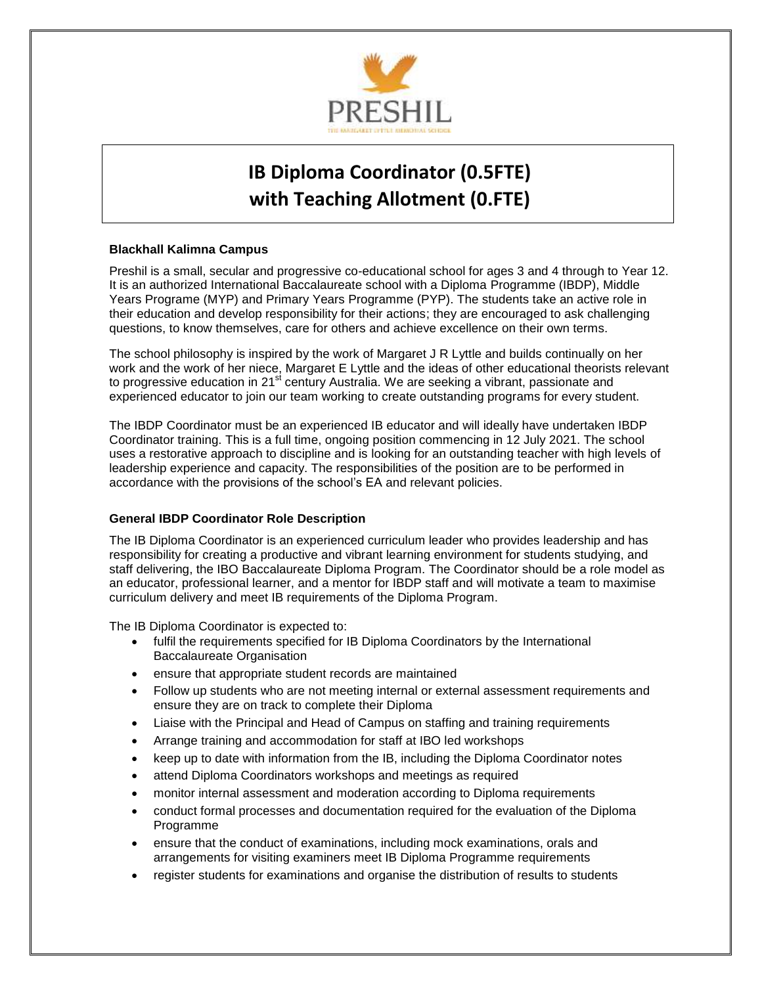

# **IB Diploma Coordinator (0.5FTE) with Teaching Allotment (0.FTE)**

## **Blackhall Kalimna Campus**

Preshil is a small, secular and progressive co-educational school for ages 3 and 4 through to Year 12. It is an authorized International Baccalaureate school with a Diploma Programme (IBDP), Middle Years Programe (MYP) and Primary Years Programme (PYP). The students take an active role in their education and develop responsibility for their actions; they are encouraged to ask challenging questions, to know themselves, care for others and achieve excellence on their own terms.

The school philosophy is inspired by the work of Margaret J R Lyttle and builds continually on her work and the work of her niece, Margaret E Lyttle and the ideas of other educational theorists relevant to progressive education in 21 $^{\text{st}}$  century Australia. We are seeking a vibrant, passionate and experienced educator to join our team working to create outstanding programs for every student.

The IBDP Coordinator must be an experienced IB educator and will ideally have undertaken IBDP Coordinator training. This is a full time, ongoing position commencing in 12 July 2021. The school uses a restorative approach to discipline and is looking for an outstanding teacher with high levels of leadership experience and capacity. The responsibilities of the position are to be performed in accordance with the provisions of the school's EA and relevant policies.

# **General IBDP Coordinator Role Description**

The IB Diploma Coordinator is an experienced curriculum leader who provides leadership and has responsibility for creating a productive and vibrant learning environment for students studying, and staff delivering, the IBO Baccalaureate Diploma Program. The Coordinator should be a role model as an educator, professional learner, and a mentor for IBDP staff and will motivate a team to maximise curriculum delivery and meet IB requirements of the Diploma Program.

The IB Diploma Coordinator is expected to:

- fulfil the requirements specified for IB Diploma Coordinators by the International Baccalaureate Organisation
- ensure that appropriate student records are maintained
- Follow up students who are not meeting internal or external assessment requirements and ensure they are on track to complete their Diploma
- Liaise with the Principal and Head of Campus on staffing and training requirements
- Arrange training and accommodation for staff at IBO led workshops
- keep up to date with information from the IB, including the Diploma Coordinator notes
- attend Diploma Coordinators workshops and meetings as required
- monitor internal assessment and moderation according to Diploma requirements
- conduct formal processes and documentation required for the evaluation of the Diploma Programme
- ensure that the conduct of examinations, including mock examinations, orals and arrangements for visiting examiners meet IB Diploma Programme requirements
- register students for examinations and organise the distribution of results to students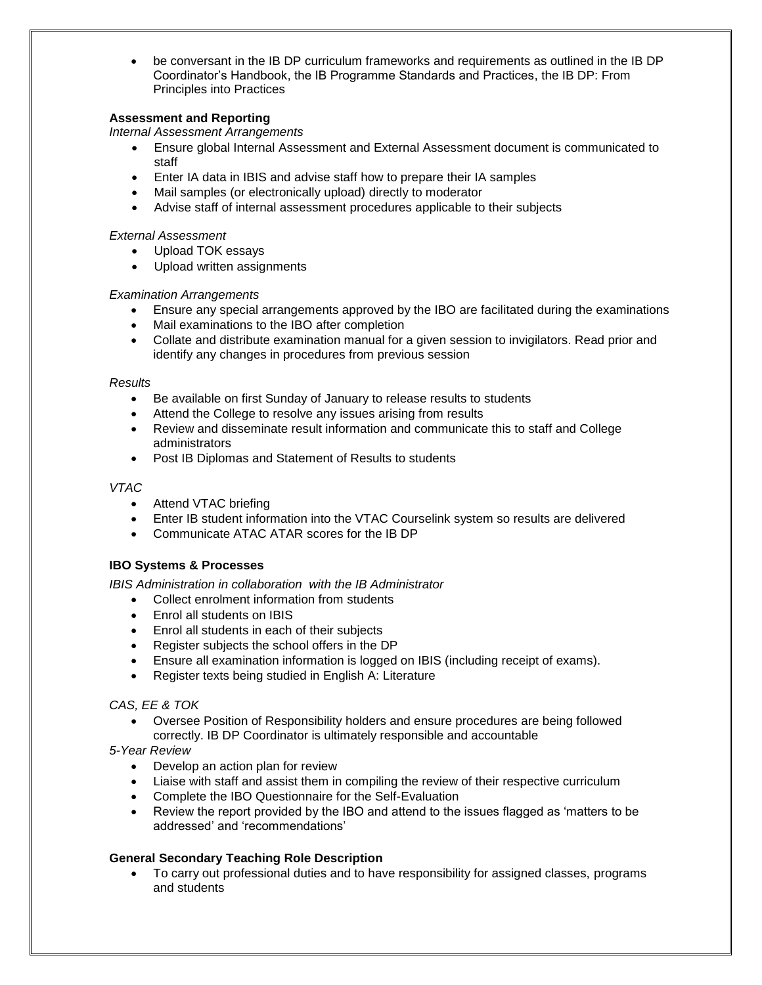be conversant in the IB DP curriculum frameworks and requirements as outlined in the IB DP Coordinator's Handbook, the IB Programme Standards and Practices, the IB DP: From Principles into Practices

## **Assessment and Reporting**

*Internal Assessment Arrangements* 

- Ensure global Internal Assessment and External Assessment document is communicated to staff
- Enter IA data in IBIS and advise staff how to prepare their IA samples
- Mail samples (or electronically upload) directly to moderator
- Advise staff of internal assessment procedures applicable to their subjects

#### *External Assessment*

- Upload TOK essays
- Upload written assignments

#### *Examination Arrangements*

- Ensure any special arrangements approved by the IBO are facilitated during the examinations
- Mail examinations to the IBO after completion
- Collate and distribute examination manual for a given session to invigilators. Read prior and identify any changes in procedures from previous session

#### *Results*

- Be available on first Sunday of January to release results to students
- Attend the College to resolve any issues arising from results
- Review and disseminate result information and communicate this to staff and College administrators
- Post IB Diplomas and Statement of Results to students

### *VTAC*

- Attend VTAC briefing
- Enter IB student information into the VTAC Courselink system so results are delivered
- Communicate ATAC ATAR scores for the IB DP

#### **IBO Systems & Processes**

*IBIS Administration in collaboration with the IB Administrator*

- Collect enrolment information from students
- Enrol all students on IBIS
- Enrol all students in each of their subjects
- Register subjects the school offers in the DP
- Ensure all examination information is logged on IBIS (including receipt of exams).
- Register texts being studied in English A: Literature

#### *CAS, EE & TOK*

- Oversee Position of Responsibility holders and ensure procedures are being followed correctly. IB DP Coordinator is ultimately responsible and accountable
- *5-Year Review* 
	- Develop an action plan for review
	- Liaise with staff and assist them in compiling the review of their respective curriculum
	- Complete the IBO Questionnaire for the Self-Evaluation
	- Review the report provided by the IBO and attend to the issues flagged as 'matters to be addressed' and 'recommendations'

# **General Secondary Teaching Role Description**

 To carry out professional duties and to have responsibility for assigned classes, programs and students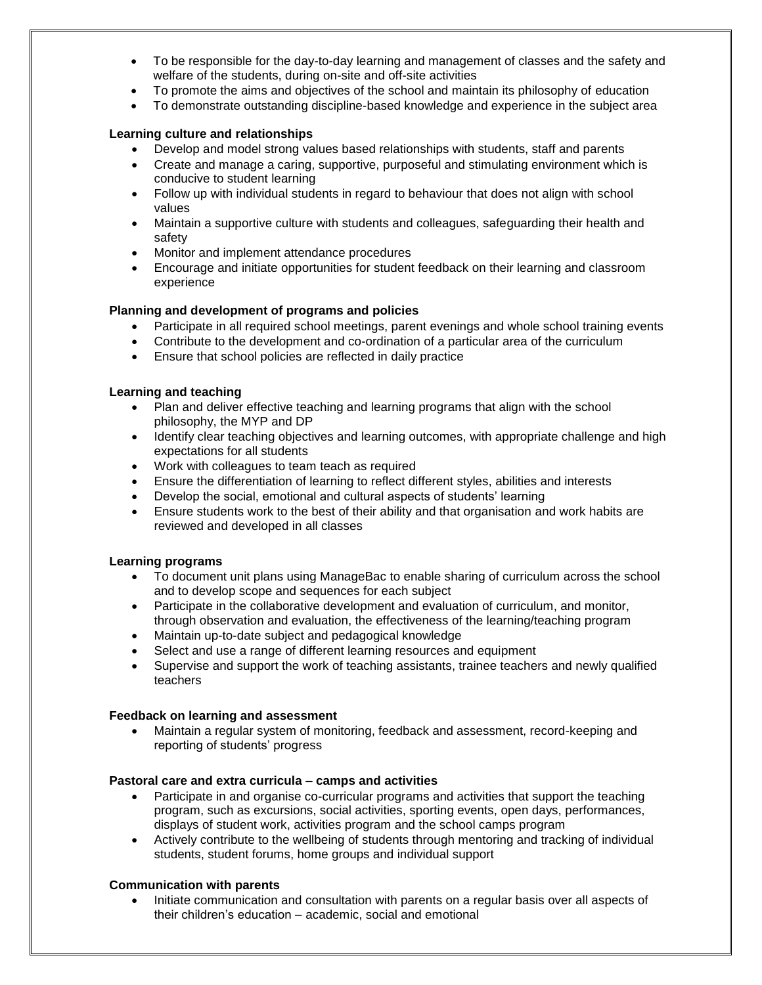- To be responsible for the day-to-day learning and management of classes and the safety and welfare of the students, during on-site and off-site activities
- To promote the aims and objectives of the school and maintain its philosophy of education
- To demonstrate outstanding discipline-based knowledge and experience in the subject area

#### **Learning culture and relationships**

- Develop and model strong values based relationships with students, staff and parents
- Create and manage a caring, supportive, purposeful and stimulating environment which is conducive to student learning
- Follow up with individual students in regard to behaviour that does not align with school values
- Maintain a supportive culture with students and colleagues, safeguarding their health and safety
- Monitor and implement attendance procedures
- Encourage and initiate opportunities for student feedback on their learning and classroom experience

#### **Planning and development of programs and policies**

- Participate in all required school meetings, parent evenings and whole school training events
- Contribute to the development and co-ordination of a particular area of the curriculum
- Ensure that school policies are reflected in daily practice

#### **Learning and teaching**

- Plan and deliver effective teaching and learning programs that align with the school philosophy, the MYP and DP
- Identify clear teaching objectives and learning outcomes, with appropriate challenge and high expectations for all students
- Work with colleagues to team teach as required
- Ensure the differentiation of learning to reflect different styles, abilities and interests
- Develop the social, emotional and cultural aspects of students' learning
- Ensure students work to the best of their ability and that organisation and work habits are reviewed and developed in all classes

#### **Learning programs**

- To document unit plans using ManageBac to enable sharing of curriculum across the school and to develop scope and sequences for each subject
- Participate in the collaborative development and evaluation of curriculum, and monitor, through observation and evaluation, the effectiveness of the learning/teaching program
- Maintain up-to-date subject and pedagogical knowledge
- Select and use a range of different learning resources and equipment
- Supervise and support the work of teaching assistants, trainee teachers and newly qualified teachers

#### **Feedback on learning and assessment**

 Maintain a regular system of monitoring, feedback and assessment, record-keeping and reporting of students' progress

#### **Pastoral care and extra curricula – camps and activities**

- Participate in and organise co-curricular programs and activities that support the teaching program, such as excursions, social activities, sporting events, open days, performances, displays of student work, activities program and the school camps program
- Actively contribute to the wellbeing of students through mentoring and tracking of individual students, student forums, home groups and individual support

#### **Communication with parents**

 Initiate communication and consultation with parents on a regular basis over all aspects of their children's education – academic, social and emotional